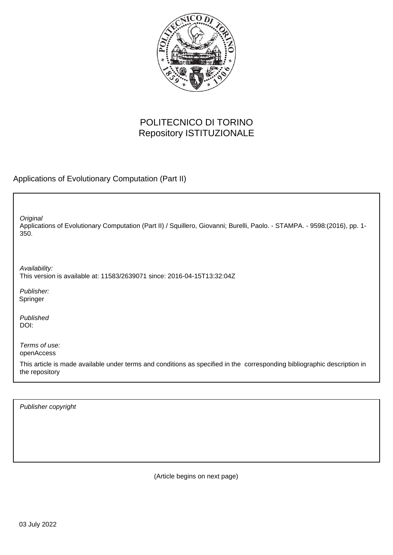

## POLITECNICO DI TORINO Repository ISTITUZIONALE

Applications of Evolutionary Computation (Part II)

Applications of Evolutionary Computation (Part II) / Squillero, Giovanni; Burelli, Paolo. - STAMPA. - 9598:(2016), pp. 1- 350. **Original** 

Availability: This version is available at: 11583/2639071 since: 2016-04-15T13:32:04Z

Publisher: Springer

Published DOI:

Terms of use: openAccess

This article is made available under terms and conditions as specified in the corresponding bibliographic description in the repository

Publisher copyright

(Article begins on next page)